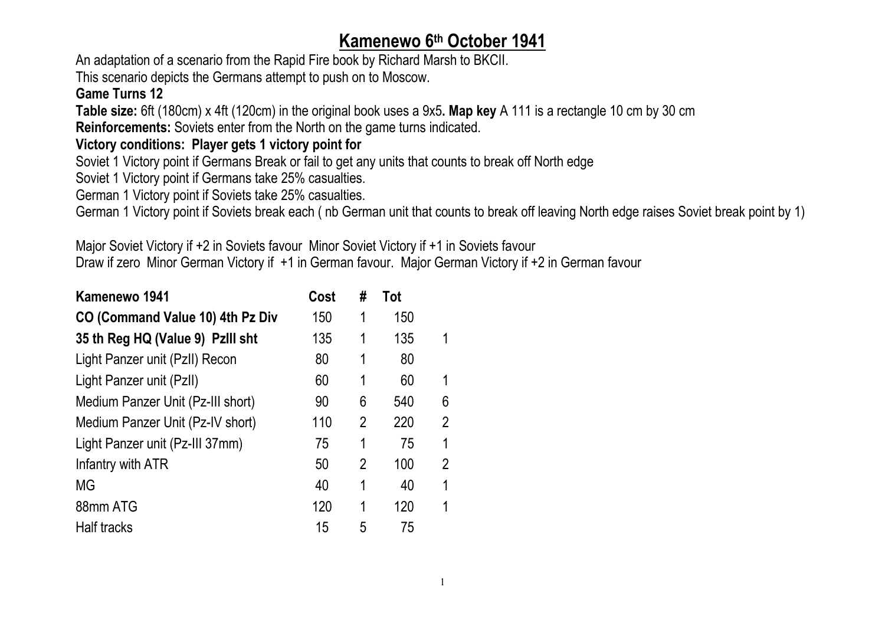## **Kamenewo 6th October 1941**

An adaptation of a scenario from the Rapid Fire book by Richard Marsh to BKCII. This scenario depicts the Germans attempt to push on to Moscow.

## **Game Turns 12**

**Table size:** 6ft (180cm) x 4ft (120cm) in the original book uses a 9x5**. Map key** A 111 is a rectangle 10 cm by 30 cm **Reinforcements:** Soviets enter from the North on the game turns indicated.

## **Victory conditions: Player gets 1 victory point for**

Soviet 1 Victory point if Germans Break or fail to get any units that counts to break off North edge

Soviet 1 Victory point if Germans take 25% casualties.

German 1 Victory point if Soviets take 25% casualties.

German 1 Victory point if Soviets break each ( nb German unit that counts to break off leaving North edge raises Soviet break point by 1)

Major Soviet Victory if +2 in Soviets favour Minor Soviet Victory if +1 in Soviets favour Draw if zero Minor German Victory if +1 in German favour. Major German Victory if +2 in German favour

| Kamenewo 1941                     | Cost | #              | Tot |                |
|-----------------------------------|------|----------------|-----|----------------|
| CO (Command Value 10) 4th Pz Div  | 150  | 1              | 150 |                |
| 35 th Reg HQ (Value 9) PzIII sht  | 135  | 1              | 135 | 1              |
| Light Panzer unit (PzII) Recon    | 80   | 1              | 80  |                |
| Light Panzer unit (PzII)          | 60   | 1              | 60  | 1              |
| Medium Panzer Unit (Pz-III short) | 90   | 6              | 540 | 6              |
| Medium Panzer Unit (Pz-IV short)  | 110  | $\overline{2}$ | 220 | 2              |
| Light Panzer unit (Pz-III 37mm)   | 75   | 1              | 75  | 1              |
| Infantry with ATR                 | 50   | $\mathfrak{p}$ | 100 | $\overline{2}$ |
| MG                                | 40   | 1              | 40  | 1              |
| 88mm ATG                          | 120  | 1              | 120 | 1              |
| Half tracks                       | 15   | 5              | 75  |                |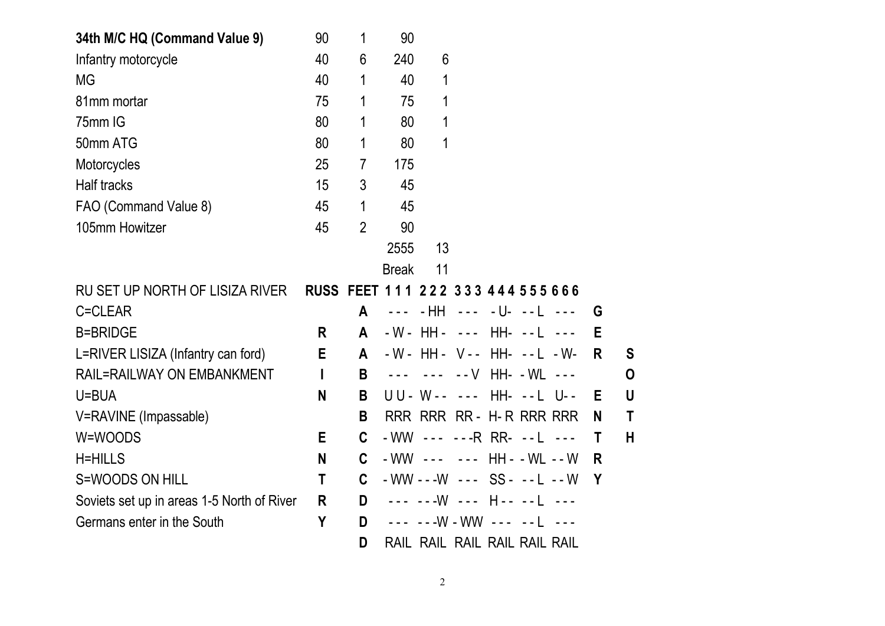| 34th M/C HQ (Command Value 9)              | 90                                | 1              | 90                              |                                   |  |  |   |    |
|--------------------------------------------|-----------------------------------|----------------|---------------------------------|-----------------------------------|--|--|---|----|
| Infantry motorcycle                        | 40                                | 6              | 240                             | 6                                 |  |  |   |    |
| MG                                         | 40                                | 1              | 40                              | 1                                 |  |  |   |    |
| 81mm mortar                                | 75                                | 1              | 75                              | 1                                 |  |  |   |    |
| 75mm IG                                    | 80                                | 1              | 80                              | 1                                 |  |  |   |    |
| 50mm ATG                                   | 80                                | 1              | 80                              | 1                                 |  |  |   |    |
| Motorcycles                                | 25                                | 7              | 175                             |                                   |  |  |   |    |
| <b>Half tracks</b>                         | 15                                | 3              | 45                              |                                   |  |  |   |    |
| FAO (Command Value 8)                      | 45                                | 1              | 45                              |                                   |  |  |   |    |
| 105mm Howitzer                             | 45                                | $\overline{2}$ | 90                              |                                   |  |  |   |    |
|                                            |                                   |                | 2555                            | 13                                |  |  |   |    |
|                                            |                                   |                | <b>Break</b>                    | 11                                |  |  |   |    |
| RU SET UP NORTH OF LISIZA RIVER            | RUSS FEET 111 222 333 444 555 666 |                |                                 |                                   |  |  |   |    |
| C=CLEAR                                    |                                   | $\mathsf{A}$   | $\omega = \omega$ .             |                                   |  |  | G |    |
| <b>B=BRIDGE</b>                            | R.                                | A              |                                 | - W - HH - --- HH- -- L ---       |  |  | E |    |
| L=RIVER LISIZA (Infantry can ford)         | E                                 | A              |                                 | - W - HH - V - - HH - - - L - W - |  |  | R | S. |
| <b>RAIL=RAILWAY ON EMBANKMENT</b>          |                                   | B              |                                 |                                   |  |  |   | 0  |
| U=BUA                                      | N                                 | B              |                                 | UU - W - - - - - HH - - - L U - - |  |  | E | U  |
| V=RAVINE (Impassable)                      |                                   | B              |                                 | RRR RRR RR - H-R RRR RRR          |  |  | N | T  |
| W=WOODS                                    | E                                 | C              | - WW --- ---R RR- --L ---       |                                   |  |  | T | Н  |
| <b>H=HILLS</b>                             | N                                 | C.             | - WW --- --- HH - - WL -- W     |                                   |  |  | R |    |
| S=WOODS ON HILL                            | T                                 | $\mathbf{C}$   | $-WW - -W - - - SS - - - L - W$ |                                   |  |  | Y |    |
| Soviets set up in areas 1-5 North of River | R.                                | D              |                                 | --- ---W --- H-- --L ---          |  |  |   |    |
| Germans enter in the South                 | Y                                 | D              |                                 |                                   |  |  |   |    |
|                                            |                                   | D              |                                 | RAIL RAIL RAIL RAIL RAIL RAIL     |  |  |   |    |